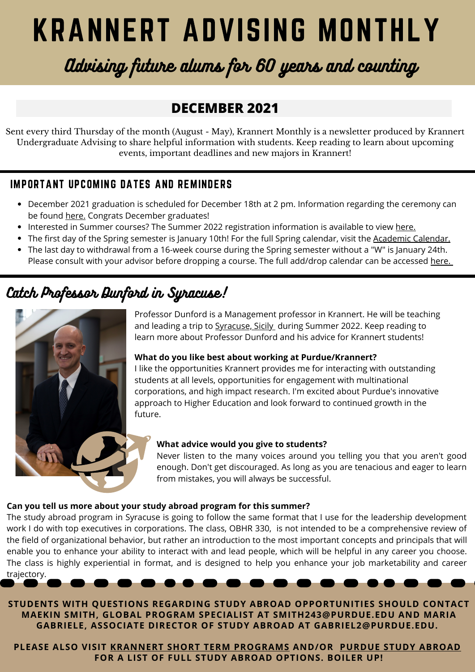# KRANNERT ADVISING MONTHLY

## Advising future alums for 60 years and counting

## **DECEMBER 2021**

Sent every third Thursday of the month (August - May), Krannert Monthly is a newsletter produced by Krannert Undergraduate Advising to share helpful information with students. Keep reading to learn about upcoming events, important deadlines and new majors in Krannert!

### IMPORTANT UPCOMING DATES AND REMINDERS

- [December 2021 graduation is scheduled for December 18th at 2 pm. Information regarding the ceremony can](https://www.purdue.edu/commencement/winter2021/index.php) be found [here.](https://www.purdue.edu/commencement/winter2021/index.php) Congrats December graduates!
- [Interested in Summer courses? The Summer 2022 registration information is available to view](https://www.purdue.edu/commencement/winter2021/index.php) [here.](https://www.purdue.edu/registrar/currentStudents/students/registrationFaq.html)
- The first day of the Spring semester is January 10th! For the full Spring calendar, visit the [Academic Calendar.](https://www.purdue.edu/registrar/calendars/2021-22-Academic-Calendar.html)
- The last day to withdrawal from a 16-week course during the Spring semester without a "W" is January 24th. Please consult with your advisor before dropping a course. The full add/drop calendar can be accessed [here.](https://www.purdue.edu/registrar/calendars/SpringDropAdd.html)

## Catch Professor Dunford in Syracuse!



Professor Dunford is a Management professor in Krannert. He will be teaching and leading a trip to [Syracuse, Sicily](https://www.krannert.purdue.edu/undergraduate/study-abroad/short-term-programs/italy/syracuse.php) during Summer 2022. Keep reading to learn more about Professor Dunford and his advice for Krannert students!

#### **What do you like best about working at Purdue/Krannert?**

I like the opportunities Krannert provides me for interacting with outstanding students at all levels, opportunities for engagement with multinational corporations, and high impact research. I'm excited about Purdue's innovative approach to Higher Education and look forward to continued growth in the future.

#### **What advice would you give to students?**

Never listen to the many voices around you telling you that you aren't good enough. Don't get discouraged. As long as you are tenacious and eager to learn from mistakes, you will always be successful.

#### **Can you tell us more about your study abroad program for this summer?**

The study abroad program in Syracuse is going to follow the same format that I use for the leadership development work I do with top executives in corporations. The class, OBHR 330, is not intended to be a comprehensive review of the field of organizational behavior, but rather an introduction to the most important concepts and principals that will enable you to enhance your ability to interact with and lead people, which will be helpful in any career you choose. The class is highly experiential in format, and is designed to help you enhance your job marketability and career trajectory.

**STUDENTS WITH QUESTIONS REGARDING STUDY ABROAD OPPORTUNITIES SHOULD CONTACT MAEKIN SMITH, GLOBAL PROGRAM SPECIALIST AT SMITH243@PURDUE.EDU AND MARIA GABRIELE, ASSOCIATE DIRECTOR OF STUDY ABROAD AT GABRIEL2@PURDUE.EDU.**

**PLEASE ALSO VISIT KRANNERT SHORT TERM [PROGRAMS](https://krannert.purdue.edu/undergraduate/study-abroad/short-term-programs/home.php) AND/OR PURDUE STUDY [ABROAD](https://www.purdue.edu/IPPU/SA/) FOR A LIST OF FULL STUDY ABROAD OPTIONS. BOILER UP!**